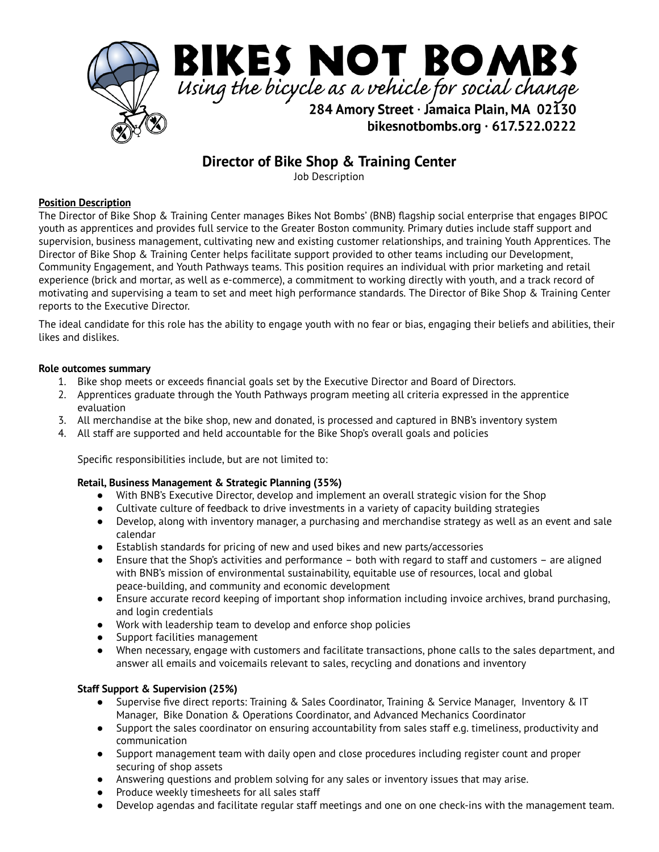

# **Director of Bike Shop & Training Center**

Job Description

## **Position Description**

The Director of Bike Shop & Training Center manages Bikes Not Bombs' (BNB) flagship social enterprise that engages BIPOC youth as apprentices and provides full service to the Greater Boston community. Primary duties include staff support and supervision, business management, cultivating new and existing customer relationships, and training Youth Apprentices. The Director of Bike Shop & Training Center helps facilitate support provided to other teams including our Development, Community Engagement, and Youth Pathways teams. This position requires an individual with prior marketing and retail experience (brick and mortar, as well as e-commerce), a commitment to working directly with youth, and a track record of motivating and supervising a team to set and meet high performance standards. The Director of Bike Shop & Training Center reports to the Executive Director.

The ideal candidate for this role has the ability to engage youth with no fear or bias, engaging their beliefs and abilities, their likes and dislikes.

#### **Role outcomes summary**

- 1. Bike shop meets or exceeds financial goals set by the Executive Director and Board of Directors.
- 2. Apprentices graduate through the Youth Pathways program meeting all criteria expressed in the apprentice evaluation
- 3. All merchandise at the bike shop, new and donated, is processed and captured in BNB's inventory system
- 4. All staff are supported and held accountable for the Bike Shop's overall goals and policies

Specific responsibilities include, but are not limited to:

#### **Retail, Business Management & Strategic Planning (35%)**

- **●** With BNB's Executive Director, develop and implement an overall strategic vision for the Shop
- Cultivate culture of feedback to drive investments in a variety of capacity building strategies
- Develop, along with inventory manager, a purchasing and merchandise strategy as well as an event and sale calendar
- Establish standards for pricing of new and used bikes and new parts/accessories
- Ensure that the Shop's activities and performance both with regard to staff and customers are aligned with BNB's mission of environmental sustainability, equitable use of resources, local and global peace-building, and community and economic development
- Ensure accurate record keeping of important shop information including invoice archives, brand purchasing, and login credentials
- Work with leadership team to develop and enforce shop policies
- Support facilities management
- When necessary, engage with customers and facilitate transactions, phone calls to the sales department, and answer all emails and voicemails relevant to sales, recycling and donations and inventory

# **Staff Support & Supervision (25%)**

- Supervise five direct reports: Training & Sales Coordinator, Training & Service Manager, Inventory & IT Manager, Bike Donation & Operations Coordinator, and Advanced Mechanics Coordinator
- Support the sales coordinator on ensuring accountability from sales staff e.g. timeliness, productivity and communication
- Support management team with daily open and close procedures including register count and proper securing of shop assets
- Answering questions and problem solving for any sales or inventory issues that may arise.
- Produce weekly timesheets for all sales staff
- Develop agendas and facilitate regular staff meetings and one on one check-ins with the management team.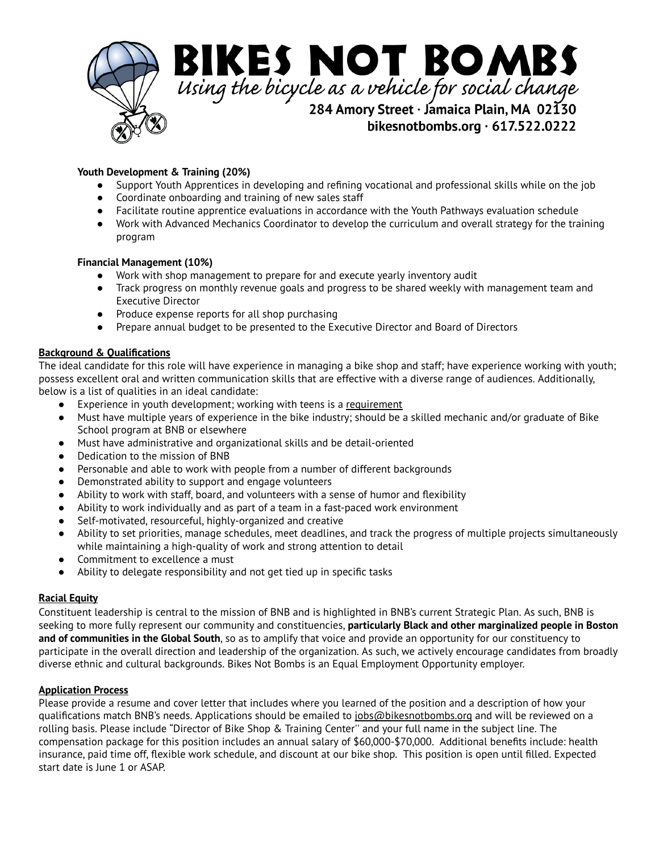

## **Youth Development & Training (20%)**

- Support Youth Apprentices in developing and refining vocational and professional skills while on the job
- **●** Coordinate onboarding and training of new sales staff
- Facilitate routine apprentice evaluations in accordance with the Youth Pathways evaluation schedule
- Work with Advanced Mechanics Coordinator to develop the curriculum and overall strategy for the training program

#### **Financial Management (10%)**

- Work with shop management to prepare for and execute yearly inventory audit
- Track progress on monthly revenue goals and progress to be shared weekly with management team and Executive Director
- Produce expense reports for all shop purchasing
- Prepare annual budget to be presented to the Executive Director and Board of Directors

#### **Background & Qualifications**

The ideal candidate for this role will have experience in managing a bike shop and staff; have experience working with youth; possess excellent oral and written communication skills that are effective with a diverse range of audiences. Additionally, below is a list of qualities in an ideal candidate:

- Experience in youth development; working with teens is a requirement
- Must have multiple years of experience in the bike industry; should be a skilled mechanic and/or graduate of Bike School program at BNB or elsewhere
- Must have administrative and organizational skills and be detail-oriented
- Dedication to the mission of BNB
- Personable and able to work with people from a number of different backgrounds
- Demonstrated ability to support and engage volunteers
- Ability to work with staff, board, and volunteers with a sense of humor and flexibility
- Ability to work individually and as part of a team in a fast-paced work environment
- Self-motivated, resourceful, highly-organized and creative
- Ability to set priorities, manage schedules, meet deadlines, and track the progress of multiple projects simultaneously while maintaining a high-quality of work and strong attention to detail
- Commitment to excellence a must
- Ability to delegate responsibility and not get tied up in specific tasks

#### **Racial Equity**

Constituent leadership is central to the mission of BNB and is highlighted in BNB's current Strategic Plan. As such, BNB is seeking to more fully represent our community and constituencies, **particularly Black and other marginalized people in Boston and of communities in the Global South**, so as to amplify that voice and provide an opportunity for our constituency to participate in the overall direction and leadership of the organization. As such, we actively encourage candidates from broadly diverse ethnic and cultural backgrounds. Bikes Not Bombs is an Equal Employment Opportunity employer.

#### **Application Process**

Please provide a resume and cover letter that includes where you learned of the position and a description of how your qualifications match BNB's needs. Applications should be emailed to [jobs@bikesnotbombs.org](mailto:jobs@bikesnotbombs.org) and will be reviewed on a rolling basis. Please include "Director of Bike Shop & Training Center'' and your full name in the subject line. The compensation package for this position includes an annual salary of \$60,000-\$70,000. Additional benefits include: health insurance, paid time off, flexible work schedule, and discount at our bike shop. This position is open until filled. Expected start date is June 1 or ASAP.